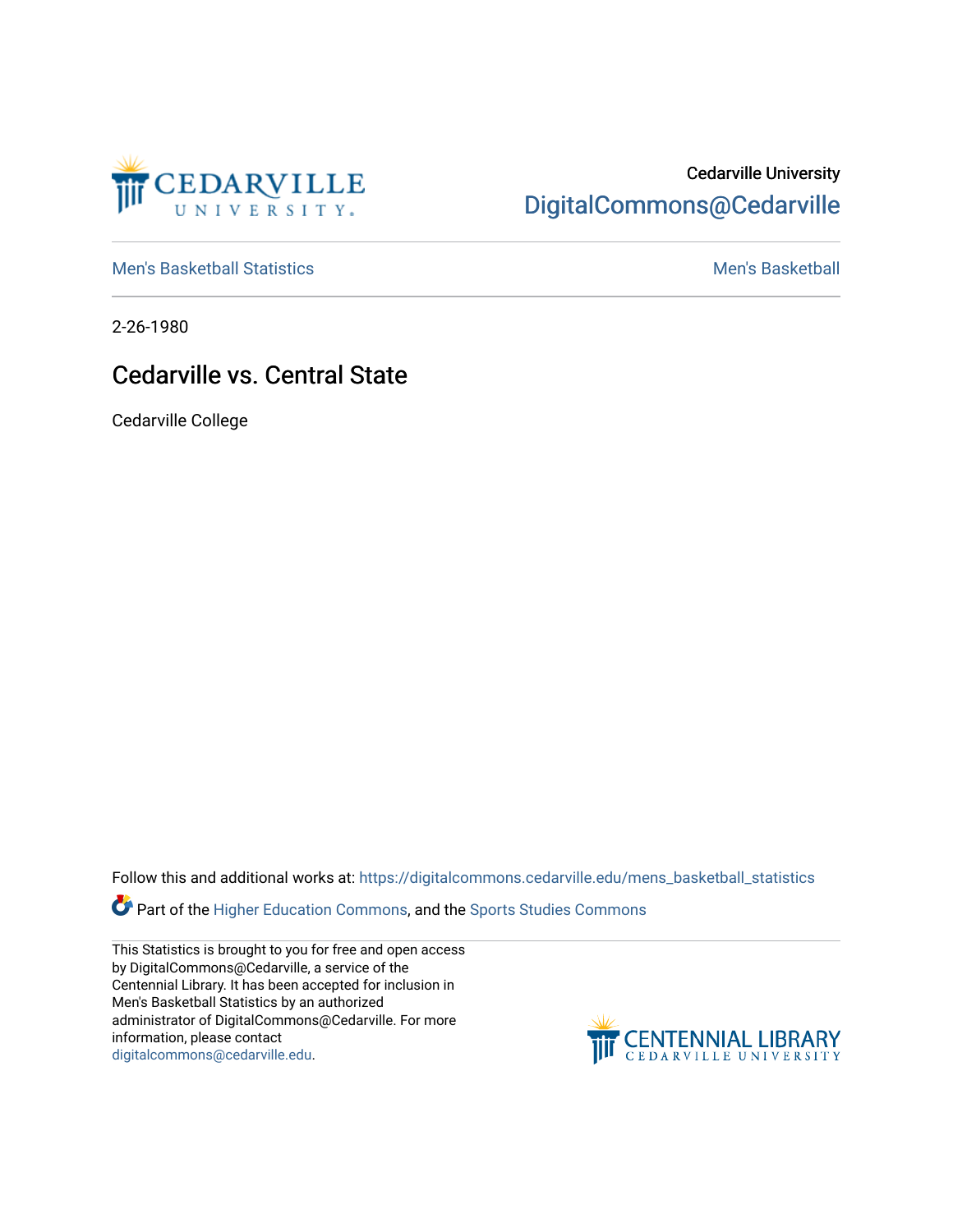

## Cedarville University [DigitalCommons@Cedarville](https://digitalcommons.cedarville.edu/)

[Men's Basketball Statistics](https://digitalcommons.cedarville.edu/mens_basketball_statistics) [Men's Basketball](https://digitalcommons.cedarville.edu/mens_basketball) 

2-26-1980

## Cedarville vs. Central State

Cedarville College

Follow this and additional works at: [https://digitalcommons.cedarville.edu/mens\\_basketball\\_statistics](https://digitalcommons.cedarville.edu/mens_basketball_statistics?utm_source=digitalcommons.cedarville.edu%2Fmens_basketball_statistics%2F309&utm_medium=PDF&utm_campaign=PDFCoverPages) 

**Part of the [Higher Education Commons,](http://network.bepress.com/hgg/discipline/1245?utm_source=digitalcommons.cedarville.edu%2Fmens_basketball_statistics%2F309&utm_medium=PDF&utm_campaign=PDFCoverPages) and the Sports Studies Commons** 

This Statistics is brought to you for free and open access by DigitalCommons@Cedarville, a service of the Centennial Library. It has been accepted for inclusion in Men's Basketball Statistics by an authorized administrator of DigitalCommons@Cedarville. For more information, please contact [digitalcommons@cedarville.edu](mailto:digitalcommons@cedarville.edu).